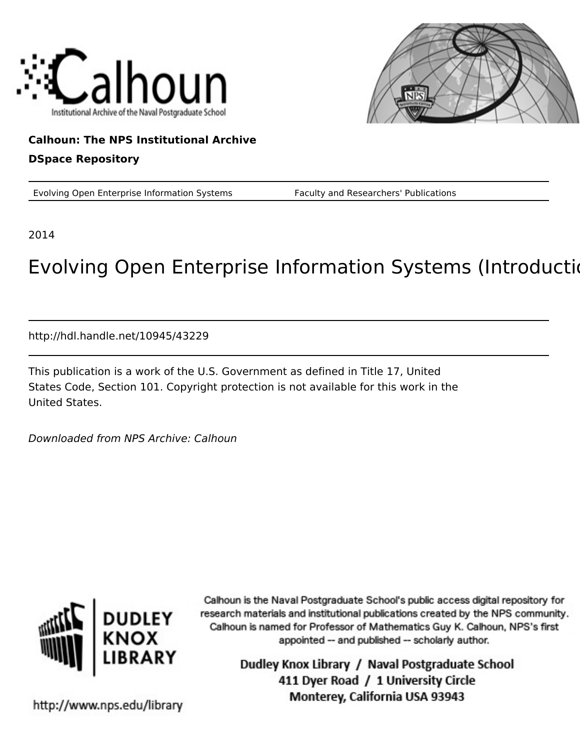



## **Calhoun: The NPS Institutional Archive**

#### **DSpace Repository**

Evolving Open Enterprise Information Systems Faculty and Researchers' Publications

2014

# Evolving Open Enterprise Information Systems (Introduction)

http://hdl.handle.net/10945/43229

This publication is a work of the U.S. Government as defined in Title 17, United States Code, Section 101. Copyright protection is not available for this work in the United States.

Downloaded from NPS Archive: Calhoun



Calhoun is the Naval Postgraduate School's public access digital repository for research materials and institutional publications created by the NPS community. Calhoun is named for Professor of Mathematics Guy K. Calhoun, NPS's first appointed -- and published -- scholarly author.

> Dudley Knox Library / Naval Postgraduate School 411 Dyer Road / 1 University Circle Monterey, California USA 93943

http://www.nps.edu/library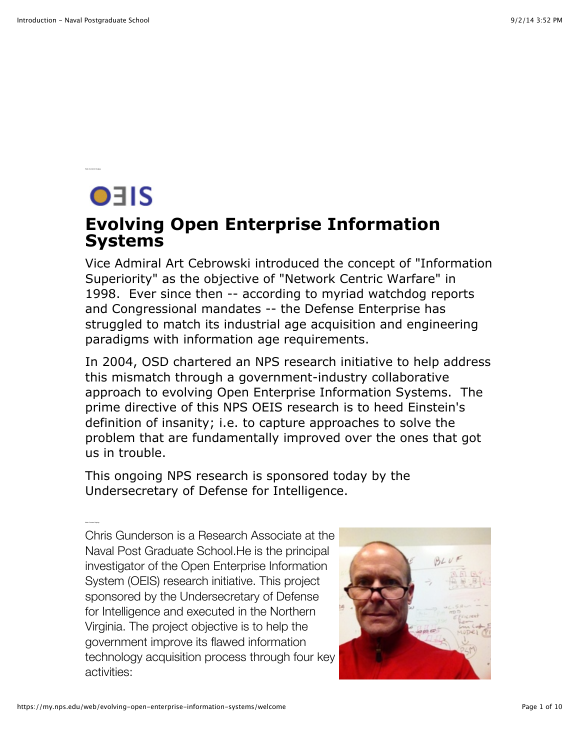OEIS

### **Evolving Open Enterprise Information Systems**

Vice Admiral Art Cebrowski introduced the concept of "Information Superiority" as the objective of "Network Centric Warfare" in 1998. Ever since then -- according to myriad watchdog reports and Congressional mandates -- the Defense Enterprise has struggled to match its industrial age acquisition and engineering paradigms with information age requirements.

In 2004, OSD chartered an NPS research initiative to help address this mismatch through a government-industry collaborative approach to evolving Open Enterprise Information Systems. The prime directive of this NPS OEIS research is to heed Einstein's definition of insanity; i.e. to capture approaches to solve the problem that are fundamentally improved over the ones that got us in trouble.

This ongoing NPS research is sponsored today by the Undersecretary of Defense for Intelligence.

Chris Gunderson is a Research Associate at the Naval Post Graduate School.He is the principal investigator of the Open Enterprise Information System (OEIS) research initiative. This project sponsored by the Undersecretary of Defense for Intelligence and executed in the Northern Virginia. The project objective is to help the government improve its flawed information technology acquisition process through four key activities:

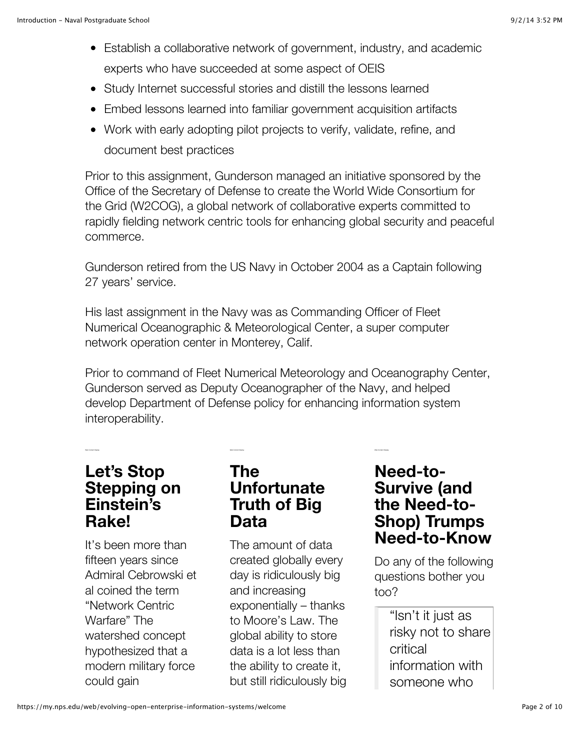- Establish a collaborative network of government, industry, and academic experts who have succeeded at some aspect of OEIS
- Study Internet successful stories and distill the lessons learned
- Embed lessons learned into familiar government acquisition artifacts
- Work with early adopting pilot projects to verify, validate, refine, and document best practices

Prior to this assignment, Gunderson managed an initiative sponsored by the Office of the Secretary of Defense to create the World Wide Consortium for the Grid (W2COG), a global network of collaborative experts committed to rapidly fielding network centric tools for enhancing global security and peaceful commerce.

Gunderson retired from the US Navy in October 2004 as a Captain following 27 years' service.

His last assignment in the Navy was as Commanding Officer of Fleet Numerical Oceanographic & Meteorological Center, a super computer network operation center in Monterey, Calif.

Prior to command of Fleet Numerical Meteorology and Oceanography Center, Gunderson served as Deputy Oceanographer of the Navy, and helped develop Department of Defense policy for enhancing information system interoperability.

#### **Let's Stop Stepping on Einstein's Rake!**

It's been more than fifteen years since Admiral Cebrowski et al coined the term "Network Centric Warfare" The watershed concept hypothesized that a modern military force could gain

#### **The Unfortunate Truth of Big Data**

Web Content Display Web Content Display Web Content Display Web Content Display

The amount of data created globally every day is ridiculously big and increasing exponentially – thanks to Moore's Law. The global ability to store data is a lot less than the ability to create it, but still ridiculously big

#### **Need-to-Survive (and the Need-to-Shop) Trumps Need-to-Know**

Do any of the following questions bother you too?

> "Isn't it just as risky not to share critical information with someone who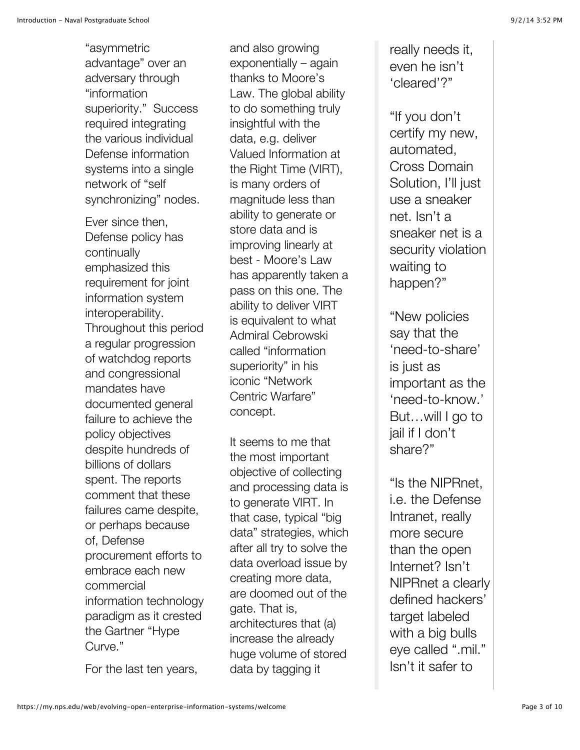"asymmetric advantage" over an adversary through "information superiority." Success required integrating the various individual Defense information systems into a single network of "self synchronizing" nodes.

Ever since then, Defense policy has continually emphasized this requirement for joint information system interoperability. Throughout this period a regular progression of watchdog reports and congressional mandates have documented general failure to achieve the policy objectives despite hundreds of billions of dollars spent. The reports comment that these failures came despite, or perhaps because of, Defense procurement efforts to embrace each new commercial information technology paradigm as it crested the Gartner "Hype Curve."

For the last ten years,

and also growing exponentially – again thanks to Moore's Law. The global ability to do something truly insightful with the data, e.g. deliver Valued Information at the Right Time (VIRT), is many orders of magnitude less than ability to generate or store data and is improving linearly at best - Moore's Law has apparently taken a pass on this one. The ability to deliver VIRT is equivalent to what Admiral Cebrowski called "information superiority" in his iconic "Network Centric Warfare" concept.

It seems to me that the most important objective of collecting and processing data is to generate VIRT. In that case, typical "big data" strategies, which after all try to solve the data overload issue by creating more data, are doomed out of the gate. That is, architectures that (a) increase the already huge volume of stored data by tagging it

really needs it, even he isn't 'cleared'?"

"If you don't certify my new, automated, Cross Domain Solution, I'll just use a sneaker net. Isn't a sneaker net is a security violation waiting to happen?"

"New policies say that the 'need-to-share' is just as important as the 'need-to-know.' But…will I go to jail if I don't share?"

"Is the NIPRnet, i.e. the Defense Intranet, really more secure than the open Internet? Isn't NIPRnet a clearly defined hackers' target labeled with a big bulls eye called ".mil." Isn't it safer to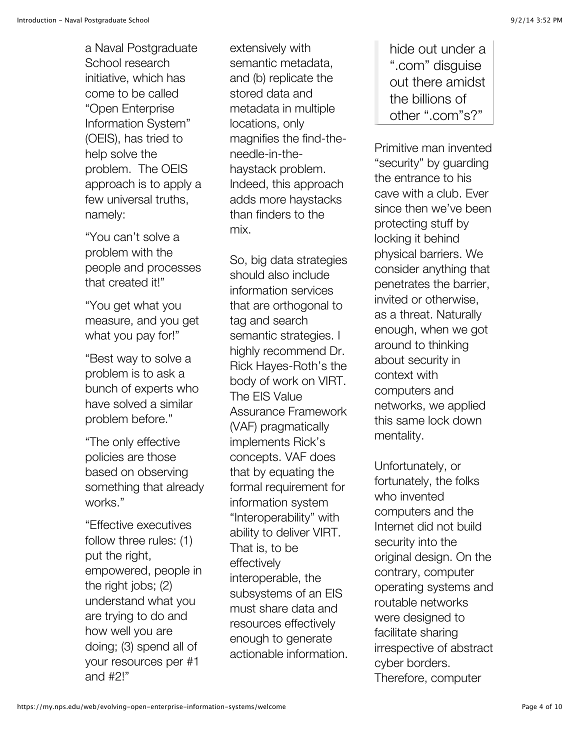a Naval Postgraduate School research initiative, which has come to be called "Open Enterprise Information System" (OEIS), has tried to help solve the problem. The OEIS approach is to apply a few universal truths, namely:

"You can't solve a problem with the people and processes that created it!"

"You get what you measure, and you get what you pay for!"

"Best way to solve a problem is to ask a bunch of experts who have solved a similar problem before."

"The only effective policies are those based on observing something that already works."

"Effective executives follow three rules: (1) put the right, empowered, people in the right jobs; (2) understand what you are trying to do and how well you are doing; (3) spend all of your resources per #1 and #2!"

extensively with semantic metadata, and (b) replicate the stored data and metadata in multiple locations, only magnifies the find-theneedle-in-thehaystack problem. Indeed, this approach adds more haystacks than finders to the mix.

So, big data strategies should also include information services that are orthogonal to tag and search semantic strategies. I highly recommend Dr. Rick Hayes-Roth's the body of work on VIRT. The EIS Value Assurance Framework (VAF) pragmatically implements Rick's concepts. VAF does that by equating the formal requirement for information system "Interoperability" with ability to deliver VIRT. That is, to be effectively interoperable, the subsystems of an EIS must share data and resources effectively enough to generate actionable information. hide out under a ".com" disguise out there amidst the billions of other ".com"s?"

Primitive man invented "security" by guarding the entrance to his cave with a club. Ever since then we've been protecting stuff by locking it behind physical barriers. We consider anything that penetrates the barrier, invited or otherwise, as a threat. Naturally enough, when we got around to thinking about security in context with computers and networks, we applied this same lock down mentality.

Unfortunately, or fortunately, the folks who invented computers and the Internet did not build security into the original design. On the contrary, computer operating systems and routable networks were designed to facilitate sharing irrespective of abstract cyber borders. Therefore, computer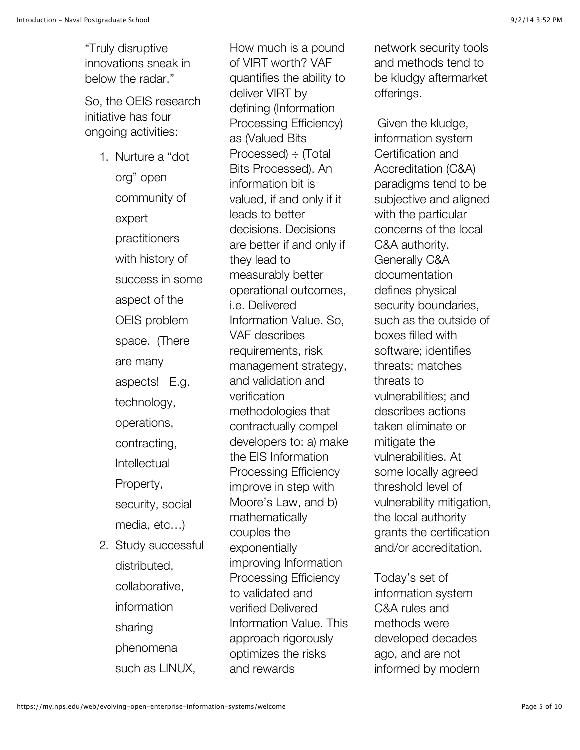"Truly disruptive innovations sneak in below the radar."

So, the OEIS research initiative has four ongoing activities:

- 1. Nurture a "dot org" open community of expert practitioners with history of success in some aspect of the OEIS problem space. (There are many aspects! E.g. technology, operations, contracting, Intellectual Property, security, social media, etc…) 2. Study successful
	- distributed, collaborative, information sharing phenomena such as LINUX,

How much is a pound of VIRT worth? VAF quantifies the ability to deliver VIRT by defining (Information Processing Efficiency) as (Valued Bits Processed) ÷ (Total Bits Processed). An information bit is valued, if and only if it leads to better decisions. Decisions are better if and only if they lead to measurably better operational outcomes, i.e. Delivered Information Value. So, VAF describes requirements, risk management strategy, and validation and verification methodologies that contractually compel developers to: a) make the EIS Information Processing Efficiency improve in step with Moore's Law, and b) mathematically couples the exponentially improving Information Processing Efficiency to validated and verified Delivered Information Value. This approach rigorously optimizes the risks and rewards

network security tools and methods tend to be kludgy aftermarket offerings.

 Given the kludge, information system Certification and Accreditation (C&A) paradigms tend to be subjective and aligned with the particular concerns of the local C&A authority. Generally C&A documentation defines physical security boundaries, such as the outside of boxes filled with software; identifies threats; matches threats to vulnerabilities; and describes actions taken eliminate or mitigate the vulnerabilities. At some locally agreed threshold level of vulnerability mitigation, the local authority grants the certification and/or accreditation.

Today's set of information system C&A rules and methods were developed decades ago, and are not informed by modern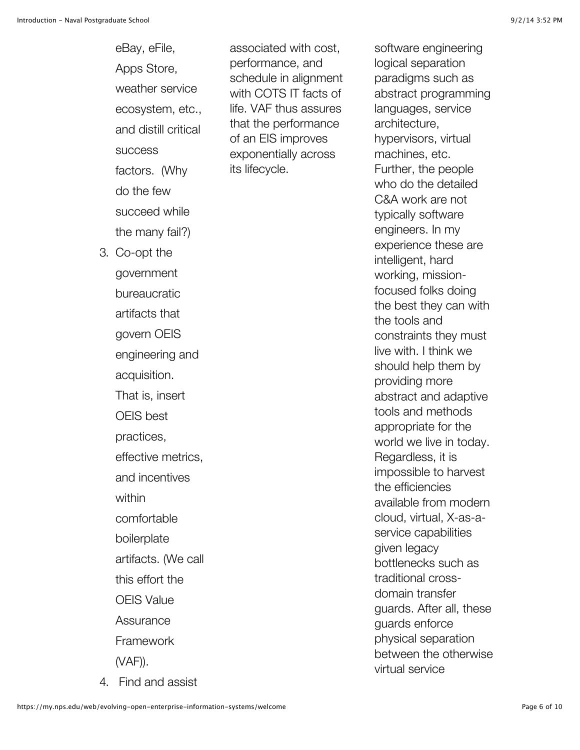eBay, eFile, Apps Store, weather service ecosystem, etc., and distill critical **success** factors. (Why do the few succeed while the many fail?) 3. Co-opt the government bureaucratic artifacts that govern OEIS engineering and acquisition. That is, insert OEIS best practices, effective metrics, and incentives within comfortable boilerplate artifacts. (We call this effort the OEIS Value **Assurance** Framework (VAF)).

4. Find and assist

associated with cost, performance, and schedule in alignment with COTS IT facts of life. VAF thus assures that the performance of an EIS improves exponentially across its lifecycle.

software engineering logical separation paradigms such as abstract programming languages, service architecture, hypervisors, virtual machines, etc. Further, the people who do the detailed C&A work are not typically software engineers. In my experience these are intelligent, hard working, missionfocused folks doing the best they can with the tools and constraints they must live with. I think we should help them by providing more abstract and adaptive tools and methods appropriate for the world we live in today. Regardless, it is impossible to harvest the efficiencies available from modern cloud, virtual, X-as-aservice capabilities given legacy bottlenecks such as traditional crossdomain transfer guards. After all, these guards enforce physical separation between the otherwise virtual service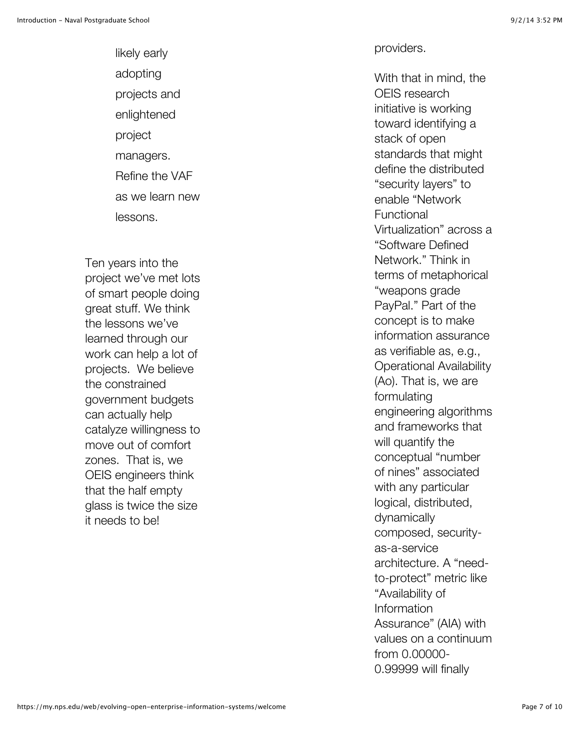likely early adopting projects and enlightened project managers. Refine the VAF as we learn new lessons.

Ten years into the project we've met lots of smart people doing great stuff. We think the lessons we've learned through our work can help a lot of projects. We believe the constrained government budgets can actually help catalyze willingness to move out of comfort zones. That is, we OEIS engineers think that the half empty glass is twice the size it needs to be!

With that in mind, the OEIS research initiative is working toward identifying a stack of open standards that might define the distributed "security layers" to enable "Network Functional Virtualization" across a "Software Defined Network." Think in terms of metaphorical "weapons grade PayPal." Part of the concept is to make information assurance as verifiable as, e.g., Operational Availability (Ao). That is, we are formulating engineering algorithms and frameworks that will quantify the conceptual "number of nines" associated with any particular logical, distributed, dynamically composed, securityas-a-service architecture. A "needto-protect" metric like "Availability of Information Assurance" (AIA) with values on a continuum from 0.00000-0.99999 will finally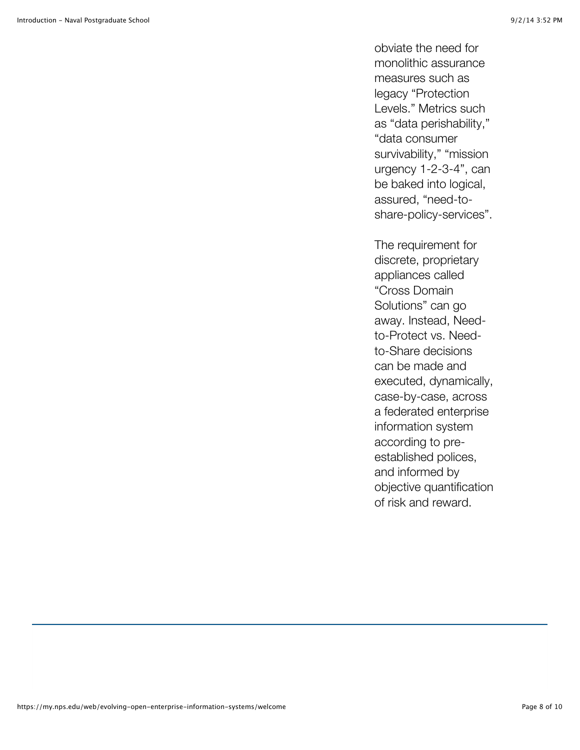obviate the need for monolithic assurance measures such as legacy "Protection Levels." Metrics such as "data perishability," "data consumer survivability," "mission urgency 1-2-3-4", can be baked into logical, assured, "need-toshare-policy-services".

The requirement for discrete, proprietary appliances called "Cross Domain Solutions" can go away. Instead, Needto-Protect vs. Needto-Share decisions can be made and executed, dynamically, case-by-case, across a federated enterprise information system according to preestablished polices, and informed by objective quantification of risk and reward.